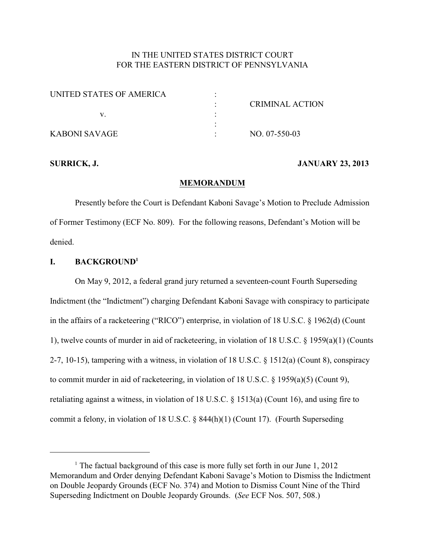# IN THE UNITED STATES DISTRICT COURT FOR THE EASTERN DISTRICT OF PENNSYLVANIA

| UNITED STATES OF AMERICA |                        |
|--------------------------|------------------------|
|                          | <b>CRIMINAL ACTION</b> |
|                          |                        |
|                          |                        |
| KABONI SAVAGE            | NO. 07-550-03          |

#### **SURRICK, J. JANUARY 23, 2013**

#### **MEMORANDUM**

Presently before the Court is Defendant Kaboni Savage's Motion to Preclude Admission of Former Testimony (ECF No. 809). For the following reasons, Defendant's Motion will be denied.

## **I. BACKGROUND<sup>1</sup>**

On May 9, 2012, a federal grand jury returned a seventeen-count Fourth Superseding Indictment (the "Indictment") charging Defendant Kaboni Savage with conspiracy to participate in the affairs of a racketeering ("RICO") enterprise, in violation of 18 U.S.C. § 1962(d) (Count 1), twelve counts of murder in aid of racketeering, in violation of 18 U.S.C. § 1959(a)(1) (Counts 2-7, 10-15), tampering with a witness, in violation of 18 U.S.C. § 1512(a) (Count 8), conspiracy to commit murder in aid of racketeering, in violation of 18 U.S.C. § 1959(a)(5) (Count 9), retaliating against a witness, in violation of 18 U.S.C.  $\S$  1513(a) (Count 16), and using fire to commit a felony, in violation of 18 U.S.C. § 844(h)(1) (Count 17). (Fourth Superseding

<sup>&</sup>lt;sup>1</sup> The factual background of this case is more fully set forth in our June  $1, 2012$ Memorandum and Order denying Defendant Kaboni Savage's Motion to Dismiss the Indictment on Double Jeopardy Grounds (ECF No. 374) and Motion to Dismiss Count Nine of the Third Superseding Indictment on Double Jeopardy Grounds. (*See* ECF Nos. 507, 508.)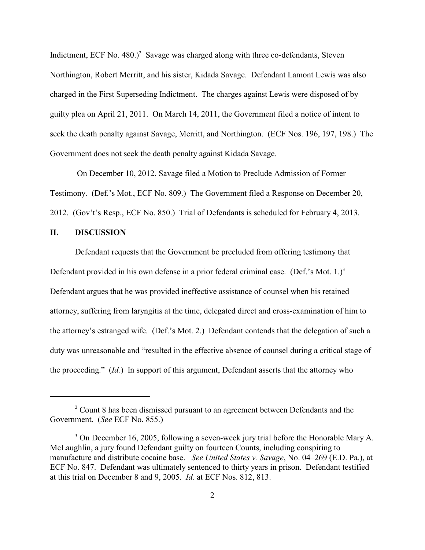Indictment, ECF No. 480.)<sup>2</sup> Savage was charged along with three co-defendants, Steven Northington, Robert Merritt, and his sister, Kidada Savage. Defendant Lamont Lewis was also charged in the First Superseding Indictment. The charges against Lewis were disposed of by guilty plea on April 21, 2011. On March 14, 2011, the Government filed a notice of intent to seek the death penalty against Savage, Merritt, and Northington. (ECF Nos. 196, 197, 198.) The Government does not seek the death penalty against Kidada Savage.

 On December 10, 2012, Savage filed a Motion to Preclude Admission of Former Testimony. (Def.'s Mot., ECF No. 809.) The Government filed a Response on December 20, 2012. (Gov't's Resp., ECF No. 850.) Trial of Defendants is scheduled for February 4, 2013.

### **II. DISCUSSION**

Defendant requests that the Government be precluded from offering testimony that Defendant provided in his own defense in a prior federal criminal case. (Def.'s Mot. 1.)<sup>3</sup> Defendant argues that he was provided ineffective assistance of counsel when his retained attorney, suffering from laryngitis at the time, delegated direct and cross-examination of him to the attorney's estranged wife. (Def.'s Mot. 2.) Defendant contends that the delegation of such a duty was unreasonable and "resulted in the effective absence of counsel during a critical stage of the proceeding." (*Id.*) In support of this argument, Defendant asserts that the attorney who

 $2$  Count 8 has been dismissed pursuant to an agreement between Defendants and the Government. (*See* ECF No. 855.)

<sup>&</sup>lt;sup>3</sup> On December 16, 2005, following a seven-week jury trial before the Honorable Mary A. McLaughlin, a jury found Defendant guilty on fourteen Counts, including conspiring to manufacture and distribute cocaine base. *See United States v. Savage*, No. 04–269 (E.D. Pa.), at ECF No. 847. Defendant was ultimately sentenced to thirty years in prison. Defendant testified at this trial on December 8 and 9, 2005. *Id.* at ECF Nos. 812, 813.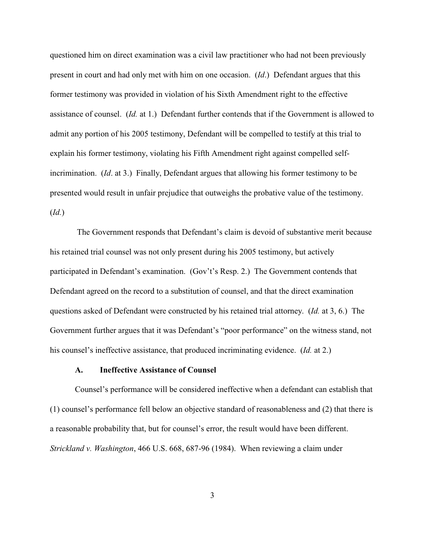questioned him on direct examination was a civil law practitioner who had not been previously present in court and had only met with him on one occasion. (*Id*.) Defendant argues that this former testimony was provided in violation of his Sixth Amendment right to the effective assistance of counsel. (*Id.* at 1.) Defendant further contends that if the Government is allowed to admit any portion of his 2005 testimony, Defendant will be compelled to testify at this trial to explain his former testimony, violating his Fifth Amendment right against compelled selfincrimination. (*Id*. at 3.) Finally, Defendant argues that allowing his former testimony to be presented would result in unfair prejudice that outweighs the probative value of the testimony. (*Id.*)

 The Government responds that Defendant's claim is devoid of substantive merit because his retained trial counsel was not only present during his 2005 testimony, but actively participated in Defendant's examination. (Gov't's Resp. 2.) The Government contends that Defendant agreed on the record to a substitution of counsel, and that the direct examination questions asked of Defendant were constructed by his retained trial attorney. (*Id.* at 3, 6.) The Government further argues that it was Defendant's "poor performance" on the witness stand, not his counsel's ineffective assistance, that produced incriminating evidence. (*Id.* at 2.)

#### **A. Ineffective Assistance of Counsel**

Counsel's performance will be considered ineffective when a defendant can establish that (1) counsel's performance fell below an objective standard of reasonableness and (2) that there is a reasonable probability that, but for counsel's error, the result would have been different. *Strickland v. Washington*, 466 U.S. 668, 687-96 (1984). When reviewing a claim under

3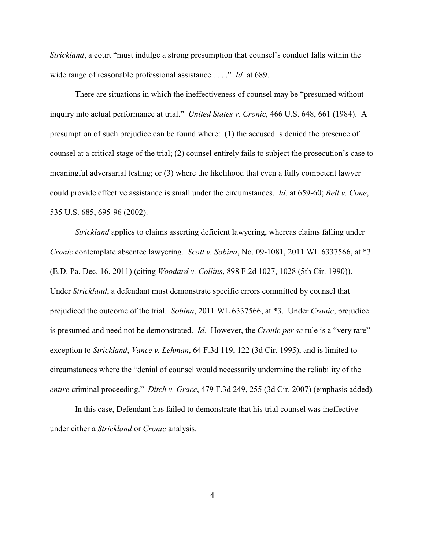*Strickland*, a court "must indulge a strong presumption that counsel's conduct falls within the wide range of reasonable professional assistance . . . ." *Id.* at 689.

There are situations in which the ineffectiveness of counsel may be "presumed without inquiry into actual performance at trial." *United States v. Cronic*, 466 U.S. 648, 661 (1984). A presumption of such prejudice can be found where: (1) the accused is denied the presence of counsel at a critical stage of the trial; (2) counsel entirely fails to subject the prosecution's case to meaningful adversarial testing; or (3) where the likelihood that even a fully competent lawyer could provide effective assistance is small under the circumstances. *Id.* at 659-60; *Bell v. Cone*, 535 U.S. 685, 695-96 (2002).

*Strickland* applies to claims asserting deficient lawyering, whereas claims falling under *Cronic* contemplate absentee lawyering. *Scott v. Sobina*, No. 09-1081, 2011 WL 6337566, at \*3 (E.D. Pa. Dec. 16, 2011) (citing *Woodard v. Collins*, 898 F.2d 1027, 1028 (5th Cir. 1990)). Under *Strickland*, a defendant must demonstrate specific errors committed by counsel that prejudiced the outcome of the trial. *Sobina*, 2011 WL 6337566, at \*3. Under *Cronic*, prejudice is presumed and need not be demonstrated. *Id.* However, the *Cronic per se* rule is a "very rare" exception to *Strickland*, *Vance v. Lehman*, 64 F.3d 119, 122 (3d Cir. 1995), and is limited to circumstances where the "denial of counsel would necessarily undermine the reliability of the *entire* criminal proceeding." *Ditch v. Grace*, 479 F.3d 249, 255 (3d Cir. 2007) (emphasis added).

In this case, Defendant has failed to demonstrate that his trial counsel was ineffective under either a *Strickland* or *Cronic* analysis.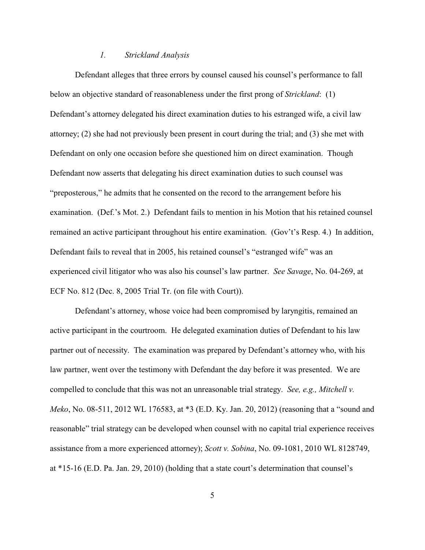#### *1. Strickland Analysis*

Defendant alleges that three errors by counsel caused his counsel's performance to fall below an objective standard of reasonableness under the first prong of *Strickland*: (1) Defendant's attorney delegated his direct examination duties to his estranged wife, a civil law attorney; (2) she had not previously been present in court during the trial; and (3) she met with Defendant on only one occasion before she questioned him on direct examination. Though Defendant now asserts that delegating his direct examination duties to such counsel was "preposterous," he admits that he consented on the record to the arrangement before his examination. (Def.'s Mot. 2.) Defendant fails to mention in his Motion that his retained counsel remained an active participant throughout his entire examination. (Gov't's Resp. 4.) In addition, Defendant fails to reveal that in 2005, his retained counsel's "estranged wife" was an experienced civil litigator who was also his counsel's law partner. *See Savage*, No. 04-269, at ECF No. 812 (Dec. 8, 2005 Trial Tr. (on file with Court)).

Defendant's attorney, whose voice had been compromised by laryngitis, remained an active participant in the courtroom. He delegated examination duties of Defendant to his law partner out of necessity. The examination was prepared by Defendant's attorney who, with his law partner, went over the testimony with Defendant the day before it was presented. We are compelled to conclude that this was not an unreasonable trial strategy. *See, e.g., Mitchell v. Meko*, No. 08-511, 2012 WL 176583, at \*3 (E.D. Ky. Jan. 20, 2012) (reasoning that a "sound and reasonable" trial strategy can be developed when counsel with no capital trial experience receives assistance from a more experienced attorney); *Scott v. Sobina*, No. 09-1081, 2010 WL 8128749, at \*15-16 (E.D. Pa. Jan. 29, 2010) (holding that a state court's determination that counsel's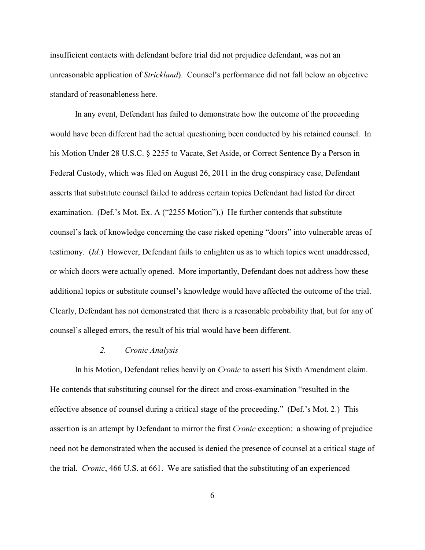insufficient contacts with defendant before trial did not prejudice defendant, was not an unreasonable application of *Strickland*). Counsel's performance did not fall below an objective standard of reasonableness here.

In any event, Defendant has failed to demonstrate how the outcome of the proceeding would have been different had the actual questioning been conducted by his retained counsel. In his Motion Under 28 U.S.C. § 2255 to Vacate, Set Aside, or Correct Sentence By a Person in Federal Custody, which was filed on August 26, 2011 in the drug conspiracy case, Defendant asserts that substitute counsel failed to address certain topics Defendant had listed for direct examination. (Def.'s Mot. Ex. A ("2255 Motion").) He further contends that substitute counsel's lack of knowledge concerning the case risked opening "doors" into vulnerable areas of testimony. (*Id.*) However, Defendant fails to enlighten us as to which topics went unaddressed, or which doors were actually opened. More importantly, Defendant does not address how these additional topics or substitute counsel's knowledge would have affected the outcome of the trial. Clearly, Defendant has not demonstrated that there is a reasonable probability that, but for any of counsel's alleged errors, the result of his trial would have been different.

#### *2. Cronic Analysis*

In his Motion, Defendant relies heavily on *Cronic* to assert his Sixth Amendment claim. He contends that substituting counsel for the direct and cross-examination "resulted in the effective absence of counsel during a critical stage of the proceeding." (Def.'s Mot. 2.) This assertion is an attempt by Defendant to mirror the first *Cronic* exception: a showing of prejudice need not be demonstrated when the accused is denied the presence of counsel at a critical stage of the trial. *Cronic*, 466 U.S. at 661. We are satisfied that the substituting of an experienced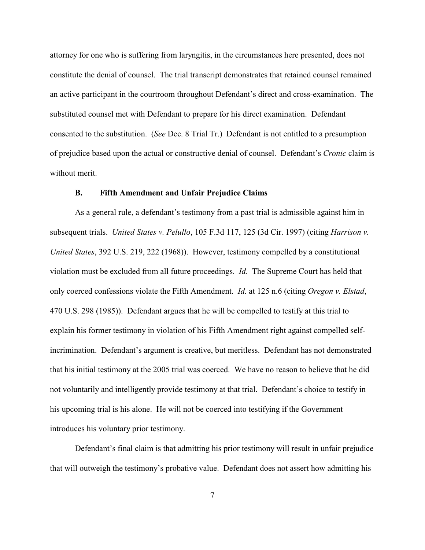attorney for one who is suffering from laryngitis, in the circumstances here presented, does not constitute the denial of counsel. The trial transcript demonstrates that retained counsel remained an active participant in the courtroom throughout Defendant's direct and cross-examination. The substituted counsel met with Defendant to prepare for his direct examination. Defendant consented to the substitution. (*See* Dec. 8 Trial Tr.) Defendant is not entitled to a presumption of prejudice based upon the actual or constructive denial of counsel. Defendant's *Cronic* claim is without merit.

#### **B. Fifth Amendment and Unfair Prejudice Claims**

As a general rule, a defendant's testimony from a past trial is admissible against him in subsequent trials. *United States v. Pelullo*, 105 F.3d 117, 125 (3d Cir. 1997) (citing *Harrison v. United States*, 392 U.S. 219, 222 (1968)). However, testimony compelled by a constitutional violation must be excluded from all future proceedings. *Id.* The Supreme Court has held that only coerced confessions violate the Fifth Amendment. *Id.* at 125 n.6 (citing *Oregon v. Elstad*, 470 U.S. 298 (1985)). Defendant argues that he will be compelled to testify at this trial to explain his former testimony in violation of his Fifth Amendment right against compelled selfincrimination. Defendant's argument is creative, but meritless. Defendant has not demonstrated that his initial testimony at the 2005 trial was coerced. We have no reason to believe that he did not voluntarily and intelligently provide testimony at that trial. Defendant's choice to testify in his upcoming trial is his alone. He will not be coerced into testifying if the Government introduces his voluntary prior testimony.

Defendant's final claim is that admitting his prior testimony will result in unfair prejudice that will outweigh the testimony's probative value. Defendant does not assert how admitting his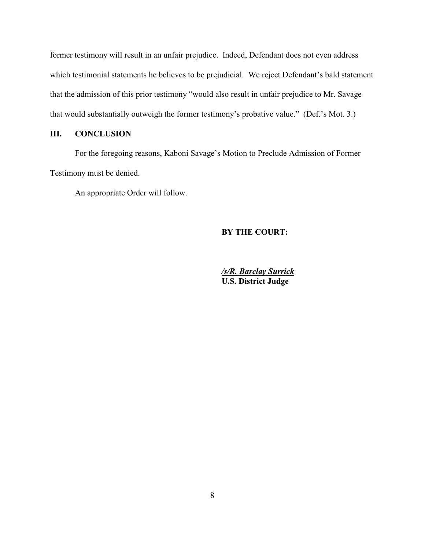former testimony will result in an unfair prejudice. Indeed, Defendant does not even address which testimonial statements he believes to be prejudicial. We reject Defendant's bald statement that the admission of this prior testimony "would also result in unfair prejudice to Mr. Savage that would substantially outweigh the former testimony's probative value." (Def.'s Mot. 3.)

## **III. CONCLUSION**

For the foregoing reasons, Kaboni Savage's Motion to Preclude Admission of Former Testimony must be denied.

An appropriate Order will follow.

#### **BY THE COURT:**

*/s/R. Barclay Surrick* **U.S. District Judge**